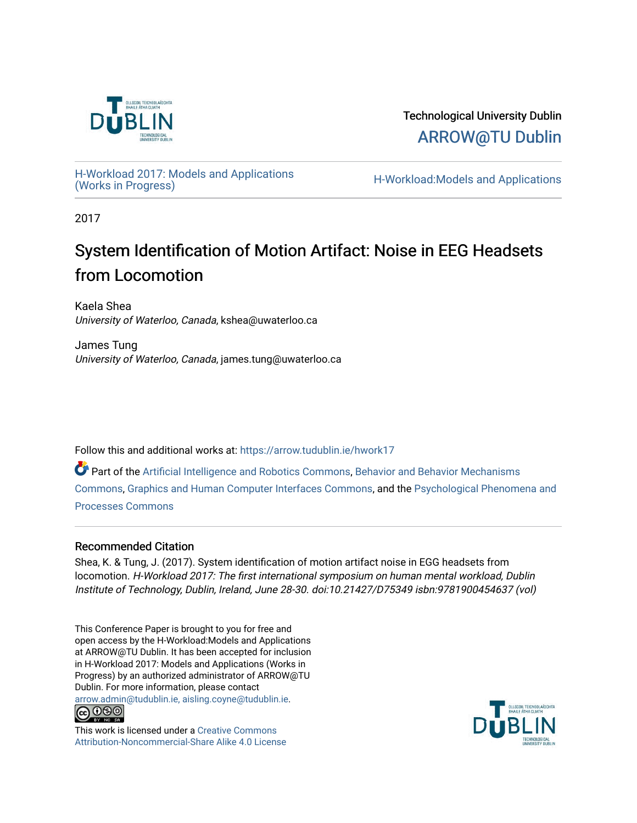

Technological University Dublin [ARROW@TU Dublin](https://arrow.tudublin.ie/) 

[H-Workload 2017: Models and Applications](https://arrow.tudublin.ie/hwork17) 

H-Workload:Models and Applications

2017

# System Identification of Motion Artifact: Noise in EEG Headsets from Locomotion

Kaela Shea University of Waterloo, Canada, kshea@uwaterloo.ca

James Tung University of Waterloo, Canada, james.tung@uwaterloo.ca

Follow this and additional works at: [https://arrow.tudublin.ie/hwork17](https://arrow.tudublin.ie/hwork17?utm_source=arrow.tudublin.ie%2Fhwork17%2F13&utm_medium=PDF&utm_campaign=PDFCoverPages)

Part of the [Artificial Intelligence and Robotics Commons](http://network.bepress.com/hgg/discipline/143?utm_source=arrow.tudublin.ie%2Fhwork17%2F13&utm_medium=PDF&utm_campaign=PDFCoverPages), [Behavior and Behavior Mechanisms](http://network.bepress.com/hgg/discipline/963?utm_source=arrow.tudublin.ie%2Fhwork17%2F13&utm_medium=PDF&utm_campaign=PDFCoverPages) [Commons](http://network.bepress.com/hgg/discipline/963?utm_source=arrow.tudublin.ie%2Fhwork17%2F13&utm_medium=PDF&utm_campaign=PDFCoverPages), [Graphics and Human Computer Interfaces Commons](http://network.bepress.com/hgg/discipline/146?utm_source=arrow.tudublin.ie%2Fhwork17%2F13&utm_medium=PDF&utm_campaign=PDFCoverPages), and the [Psychological Phenomena and](http://network.bepress.com/hgg/discipline/914?utm_source=arrow.tudublin.ie%2Fhwork17%2F13&utm_medium=PDF&utm_campaign=PDFCoverPages) [Processes Commons](http://network.bepress.com/hgg/discipline/914?utm_source=arrow.tudublin.ie%2Fhwork17%2F13&utm_medium=PDF&utm_campaign=PDFCoverPages)

# Recommended Citation

Shea, K. & Tung, J. (2017). System identification of motion artifact noise in EGG headsets from locomotion. H-Workload 2017: The first international symposium on human mental workload, Dublin Institute of Technology, Dublin, Ireland, June 28-30. doi:10.21427/D75349 isbn:9781900454637 (vol)

This Conference Paper is brought to you for free and open access by the H-Workload:Models and Applications at ARROW@TU Dublin. It has been accepted for inclusion in H-Workload 2017: Models and Applications (Works in Progress) by an authorized administrator of ARROW@TU Dublin. For more information, please contact [arrow.admin@tudublin.ie, aisling.coyne@tudublin.ie](mailto:arrow.admin@tudublin.ie,%20aisling.coyne@tudublin.ie).



This work is licensed under a [Creative Commons](http://creativecommons.org/licenses/by-nc-sa/4.0/) [Attribution-Noncommercial-Share Alike 4.0 License](http://creativecommons.org/licenses/by-nc-sa/4.0/)

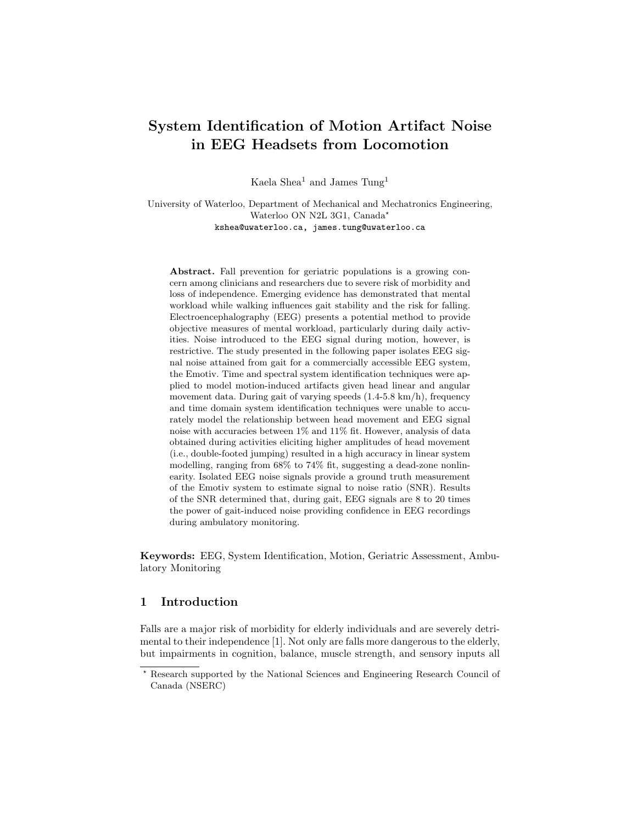# System Identification of Motion Artifact Noise in EEG Headsets from Locomotion

Kaela Shea<sup>1</sup> and James Tung<sup>1</sup>

University of Waterloo, Department of Mechanical and Mechatronics Engineering, Waterloo ON N2L 3G1, Canada? kshea@uwaterloo.ca, james.tung@uwaterloo.ca

Abstract. Fall prevention for geriatric populations is a growing concern among clinicians and researchers due to severe risk of morbidity and loss of independence. Emerging evidence has demonstrated that mental workload while walking influences gait stability and the risk for falling. Electroencephalography (EEG) presents a potential method to provide objective measures of mental workload, particularly during daily activities. Noise introduced to the EEG signal during motion, however, is restrictive. The study presented in the following paper isolates EEG signal noise attained from gait for a commercially accessible EEG system, the Emotiv. Time and spectral system identification techniques were applied to model motion-induced artifacts given head linear and angular movement data. During gait of varying speeds (1.4-5.8 km/h), frequency and time domain system identification techniques were unable to accurately model the relationship between head movement and EEG signal noise with accuracies between 1% and 11% fit. However, analysis of data obtained during activities eliciting higher amplitudes of head movement (i.e., double-footed jumping) resulted in a high accuracy in linear system modelling, ranging from 68% to 74% fit, suggesting a dead-zone nonlinearity. Isolated EEG noise signals provide a ground truth measurement of the Emotiv system to estimate signal to noise ratio (SNR). Results of the SNR determined that, during gait, EEG signals are 8 to 20 times the power of gait-induced noise providing confidence in EEG recordings during ambulatory monitoring.

Keywords: EEG, System Identification, Motion, Geriatric Assessment, Ambulatory Monitoring

# 1 Introduction

Falls are a major risk of morbidity for elderly individuals and are severely detrimental to their independence [1]. Not only are falls more dangerous to the elderly, but impairments in cognition, balance, muscle strength, and sensory inputs all

<sup>?</sup> Research supported by the National Sciences and Engineering Research Council of Canada (NSERC)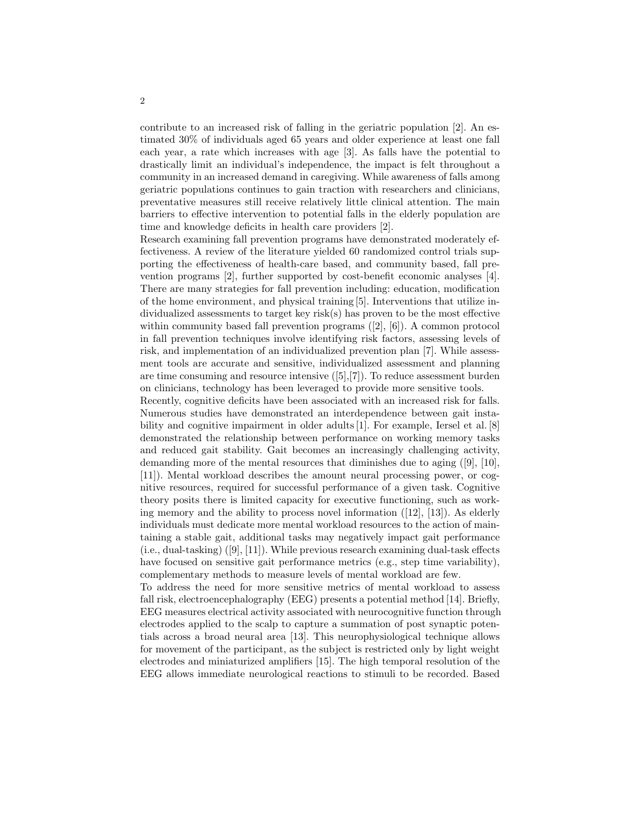contribute to an increased risk of falling in the geriatric population [2]. An estimated 30% of individuals aged 65 years and older experience at least one fall each year, a rate which increases with age [3]. As falls have the potential to drastically limit an individual's independence, the impact is felt throughout a community in an increased demand in caregiving. While awareness of falls among geriatric populations continues to gain traction with researchers and clinicians, preventative measures still receive relatively little clinical attention. The main barriers to effective intervention to potential falls in the elderly population are time and knowledge deficits in health care providers [2].

Research examining fall prevention programs have demonstrated moderately effectiveness. A review of the literature yielded 60 randomized control trials supporting the effectiveness of health-care based, and community based, fall prevention programs [2], further supported by cost-benefit economic analyses [4]. There are many strategies for fall prevention including: education, modification of the home environment, and physical training [5]. Interventions that utilize individualized assessments to target key risk(s) has proven to be the most effective within community based fall prevention programs ([2], [6]). A common protocol in fall prevention techniques involve identifying risk factors, assessing levels of risk, and implementation of an individualized prevention plan [7]. While assessment tools are accurate and sensitive, individualized assessment and planning are time consuming and resource intensive ([5],[7]). To reduce assessment burden on clinicians, technology has been leveraged to provide more sensitive tools.

Recently, cognitive deficits have been associated with an increased risk for falls. Numerous studies have demonstrated an interdependence between gait instability and cognitive impairment in older adults [1]. For example, Iersel et al. [8] demonstrated the relationship between performance on working memory tasks and reduced gait stability. Gait becomes an increasingly challenging activity, demanding more of the mental resources that diminishes due to aging ([9], [10], [11]). Mental workload describes the amount neural processing power, or cognitive resources, required for successful performance of a given task. Cognitive theory posits there is limited capacity for executive functioning, such as working memory and the ability to process novel information  $(12)$ ,  $[13]$ ). As elderly individuals must dedicate more mental workload resources to the action of maintaining a stable gait, additional tasks may negatively impact gait performance (i.e., dual-tasking) ([9], [11]). While previous research examining dual-task effects have focused on sensitive gait performance metrics (e.g., step time variability), complementary methods to measure levels of mental workload are few.

To address the need for more sensitive metrics of mental workload to assess fall risk, electroencephalography (EEG) presents a potential method [14]. Briefly, EEG measures electrical activity associated with neurocognitive function through electrodes applied to the scalp to capture a summation of post synaptic potentials across a broad neural area [13]. This neurophysiological technique allows for movement of the participant, as the subject is restricted only by light weight electrodes and miniaturized amplifiers [15]. The high temporal resolution of the EEG allows immediate neurological reactions to stimuli to be recorded. Based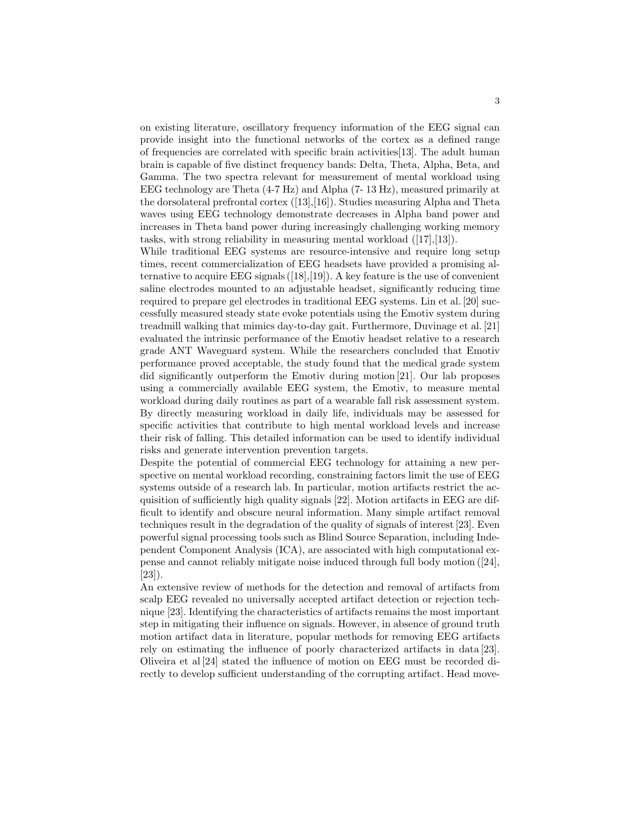on existing literature, oscillatory frequency information of the EEG signal can provide insight into the functional networks of the cortex as a defined range of frequencies are correlated with specific brain activities[13]. The adult human brain is capable of five distinct frequency bands: Delta, Theta, Alpha, Beta, and Gamma. The two spectra relevant for measurement of mental workload using EEG technology are Theta (4-7 Hz) and Alpha (7- 13 Hz), measured primarily at the dorsolateral prefrontal cortex ([13],[16]). Studies measuring Alpha and Theta waves using EEG technology demonstrate decreases in Alpha band power and increases in Theta band power during increasingly challenging working memory tasks, with strong reliability in measuring mental workload ([17],[13]).

While traditional EEG systems are resource-intensive and require long setup times, recent commercialization of EEG headsets have provided a promising alternative to acquire EEG signals  $(18,19)$ . A key feature is the use of convenient saline electrodes mounted to an adjustable headset, significantly reducing time required to prepare gel electrodes in traditional EEG systems. Lin et al. [20] successfully measured steady state evoke potentials using the Emotiv system during treadmill walking that mimics day-to-day gait. Furthermore, Duvinage et al. [21] evaluated the intrinsic performance of the Emotiv headset relative to a research grade ANT Waveguard system. While the researchers concluded that Emotiv performance proved acceptable, the study found that the medical grade system did significantly outperform the Emotiv during motion [21]. Our lab proposes using a commercially available EEG system, the Emotiv, to measure mental workload during daily routines as part of a wearable fall risk assessment system. By directly measuring workload in daily life, individuals may be assessed for specific activities that contribute to high mental workload levels and increase their risk of falling. This detailed information can be used to identify individual risks and generate intervention prevention targets.

Despite the potential of commercial EEG technology for attaining a new perspective on mental workload recording, constraining factors limit the use of EEG systems outside of a research lab. In particular, motion artifacts restrict the acquisition of sufficiently high quality signals [22]. Motion artifacts in EEG are difficult to identify and obscure neural information. Many simple artifact removal techniques result in the degradation of the quality of signals of interest [23]. Even powerful signal processing tools such as Blind Source Separation, including Independent Component Analysis (ICA), are associated with high computational expense and cannot reliably mitigate noise induced through full body motion ([24], [23]).

An extensive review of methods for the detection and removal of artifacts from scalp EEG revealed no universally accepted artifact detection or rejection technique [23]. Identifying the characteristics of artifacts remains the most important step in mitigating their influence on signals. However, in absence of ground truth motion artifact data in literature, popular methods for removing EEG artifacts rely on estimating the influence of poorly characterized artifacts in data [23]. Oliveira et al [24] stated the influence of motion on EEG must be recorded directly to develop sufficient understanding of the corrupting artifact. Head move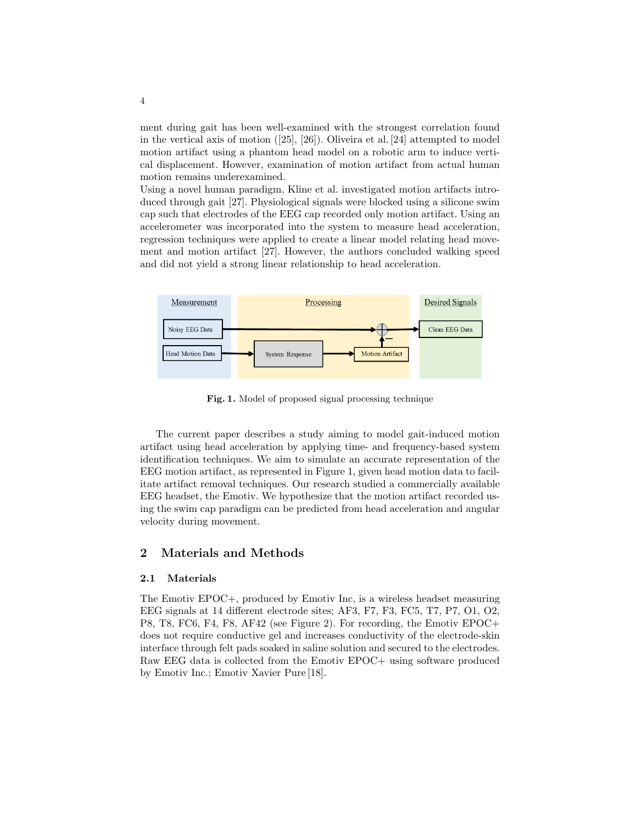ment during gait has been well-examined with the strongest correlation found in the vertical axis of motion ([25], [26]). Oliveira et al. [24] attempted to model motion artifact using a phantom head model on a robotic arm to induce vertical displacement. However, examination of motion artifact from actual human motion remains underexamined.

Using a novel human paradigm, Kline et al. investigated motion artifacts introduced through gait [27]. Physiological signals were blocked using a silicone swim cap such that electrodes of the EEG cap recorded only motion artifact. Using an accelerometer was incorporated into the system to measure head acceleration, regression techniques were applied to create a linear model relating head movement and motion artifact [27]. However, the authors concluded walking speed and did not yield a strong linear relationship to head acceleration.



Fig. 1. Model of proposed signal processing technique

The current paper describes a study aiming to model gait-induced motion artifact using head acceleration by applying time- and frequency-based system identification techniques. We aim to simulate an accurate representation of the EEG motion artifact, as represented in Figure 1, given head motion data to facilitate artifact removal techniques. Our research studied a commercially available EEG headset, the Emotiv. We hypothesize that the motion artifact recorded using the swim cap paradigm can be predicted from head acceleration and angular velocity during movement.

#### 2 Materials and Methods

#### 2.1 Materials

The Emotiv EPOC+, produced by Emotiv Inc, is a wireless headset measuring EEG signals at 14 different electrode sites; AF3, F7, F3, FC5, T7, P7, O1, O2, P8, T8, FC6, F4, F8, AF42 (see Figure 2). For recording, the Emotiv EPOC+ does not require conductive gel and increases conductivity of the electrode-skin interface through felt pads soaked in saline solution and secured to the electrodes. Raw EEG data is collected from the Emotiv EPOC+ using software produced by Emotiv Inc.; Emotiv Xavier Pure [18].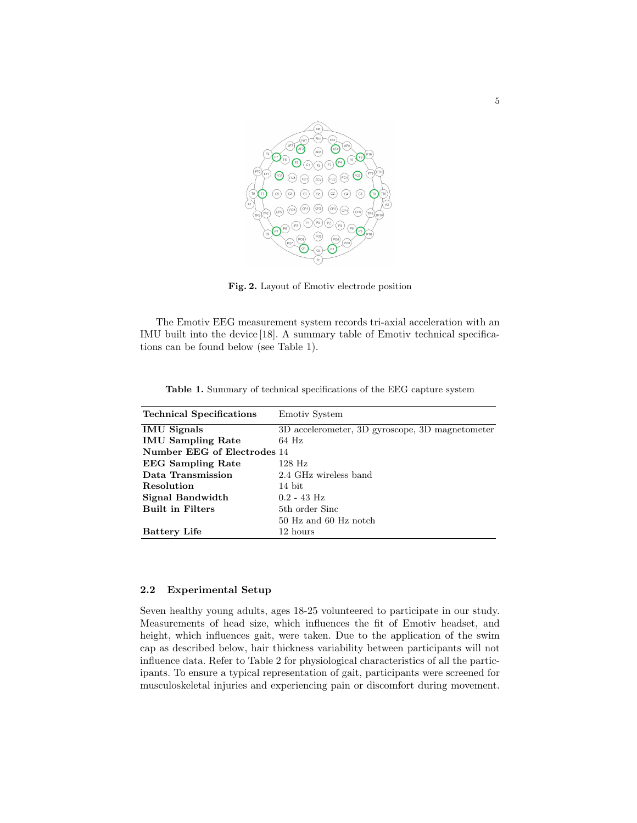

Fig. 2. Layout of Emotiv electrode position

The Emotiv EEG measurement system records tri-axial acceleration with an IMU built into the device [18]. A summary table of Emotiv technical specifications can be found below (see Table 1).

| <b>Technical Specifications</b> | Emotiv System                                   |
|---------------------------------|-------------------------------------------------|
| <b>IMU</b> Signals              | 3D accelerometer, 3D gyroscope, 3D magnetometer |
| <b>IMU Sampling Rate</b>        | $64$ Hz                                         |
| Number EEG of Electrodes 14     |                                                 |
| <b>EEG</b> Sampling Rate        | $128$ Hz                                        |
| Data Transmission               | 2.4 GHz wireless band                           |
| Resolution                      | 14 bit                                          |
| Signal Bandwidth                | $0.2 - 43$ Hz                                   |
| <b>Built in Filters</b>         | 5th order Sinc                                  |
|                                 | 50 Hz and 60 Hz notch                           |
| <b>Battery Life</b>             | 12 hours                                        |

Table 1. Summary of technical specifications of the EEG capture system

#### 2.2 Experimental Setup

Seven healthy young adults, ages 18-25 volunteered to participate in our study. Measurements of head size, which influences the fit of Emotiv headset, and height, which influences gait, were taken. Due to the application of the swim cap as described below, hair thickness variability between participants will not influence data. Refer to Table 2 for physiological characteristics of all the participants. To ensure a typical representation of gait, participants were screened for musculoskeletal injuries and experiencing pain or discomfort during movement.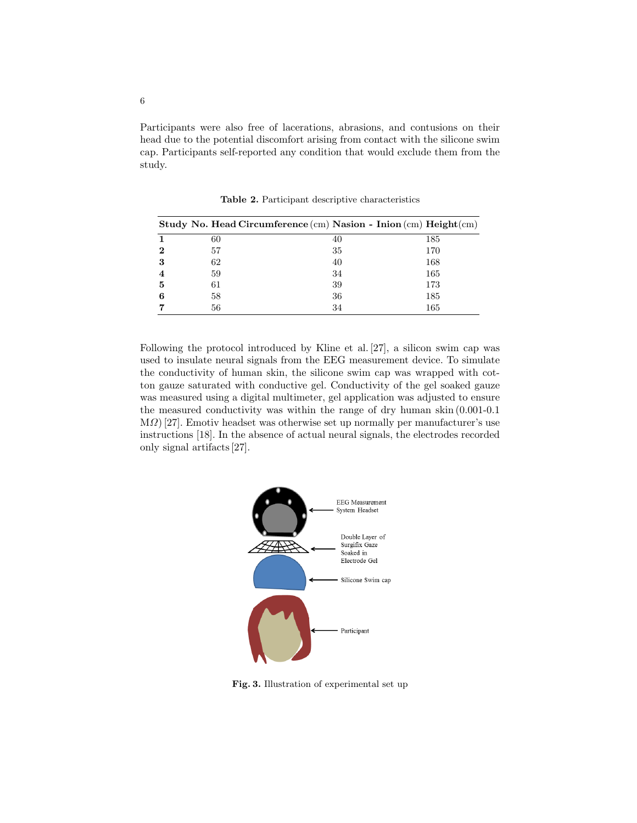Participants were also free of lacerations, abrasions, and contusions on their head due to the potential discomfort arising from contact with the silicone swim cap. Participants self-reported any condition that would exclude them from the study.

|   |    | Study No. Head Circumference $(cm)$ Nasion - Inion $(cm)$ Height $(cm)$ |     |
|---|----|-------------------------------------------------------------------------|-----|
|   | 60 | 40                                                                      | 185 |
| 2 | 57 | 35                                                                      | 170 |
| 3 | 62 | 40                                                                      | 168 |
|   | 59 | 34                                                                      | 165 |
| 5 | 61 | 39                                                                      | 173 |
|   | 58 | 36                                                                      | 185 |
|   | 56 | 34                                                                      | 165 |

Table 2. Participant descriptive characteristics

Following the protocol introduced by Kline et al. [27], a silicon swim cap was used to insulate neural signals from the EEG measurement device. To simulate the conductivity of human skin, the silicone swim cap was wrapped with cotton gauze saturated with conductive gel. Conductivity of the gel soaked gauze was measured using a digital multimeter, gel application was adjusted to ensure the measured conductivity was within the range of dry human skin (0.001-0.1 MΩ) [27]. Emotiv headset was otherwise set up normally per manufacturer's use instructions [18]. In the absence of actual neural signals, the electrodes recorded only signal artifacts [27].



Fig. 3. Illustration of experimental set up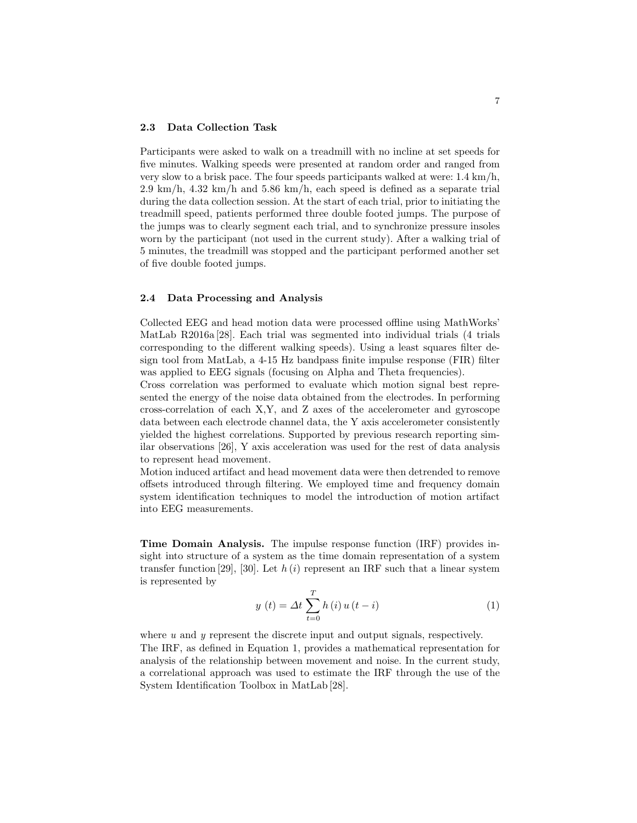#### 2.3 Data Collection Task

Participants were asked to walk on a treadmill with no incline at set speeds for five minutes. Walking speeds were presented at random order and ranged from very slow to a brisk pace. The four speeds participants walked at were: 1.4 km/h, 2.9 km/h, 4.32 km/h and 5.86 km/h, each speed is defined as a separate trial during the data collection session. At the start of each trial, prior to initiating the treadmill speed, patients performed three double footed jumps. The purpose of the jumps was to clearly segment each trial, and to synchronize pressure insoles worn by the participant (not used in the current study). After a walking trial of 5 minutes, the treadmill was stopped and the participant performed another set of five double footed jumps.

#### 2.4 Data Processing and Analysis

Collected EEG and head motion data were processed offline using MathWorks' MatLab R2016a [28]. Each trial was segmented into individual trials (4 trials corresponding to the different walking speeds). Using a least squares filter design tool from MatLab, a 4-15 Hz bandpass finite impulse response (FIR) filter was applied to EEG signals (focusing on Alpha and Theta frequencies).

Cross correlation was performed to evaluate which motion signal best represented the energy of the noise data obtained from the electrodes. In performing cross-correlation of each X,Y, and Z axes of the accelerometer and gyroscope data between each electrode channel data, the Y axis accelerometer consistently yielded the highest correlations. Supported by previous research reporting similar observations [26], Y axis acceleration was used for the rest of data analysis to represent head movement.

Motion induced artifact and head movement data were then detrended to remove offsets introduced through filtering. We employed time and frequency domain system identification techniques to model the introduction of motion artifact into EEG measurements.

Time Domain Analysis. The impulse response function (IRF) provides insight into structure of a system as the time domain representation of a system transfer function [29], [30]. Let  $h(i)$  represent an IRF such that a linear system is represented by

$$
y(t) = \Delta t \sum_{t=0}^{T} h(i) u(t - i)
$$
 (1)

where  $u$  and  $y$  represent the discrete input and output signals, respectively. The IRF, as defined in Equation 1, provides a mathematical representation for analysis of the relationship between movement and noise. In the current study, a correlational approach was used to estimate the IRF through the use of the System Identification Toolbox in MatLab [28].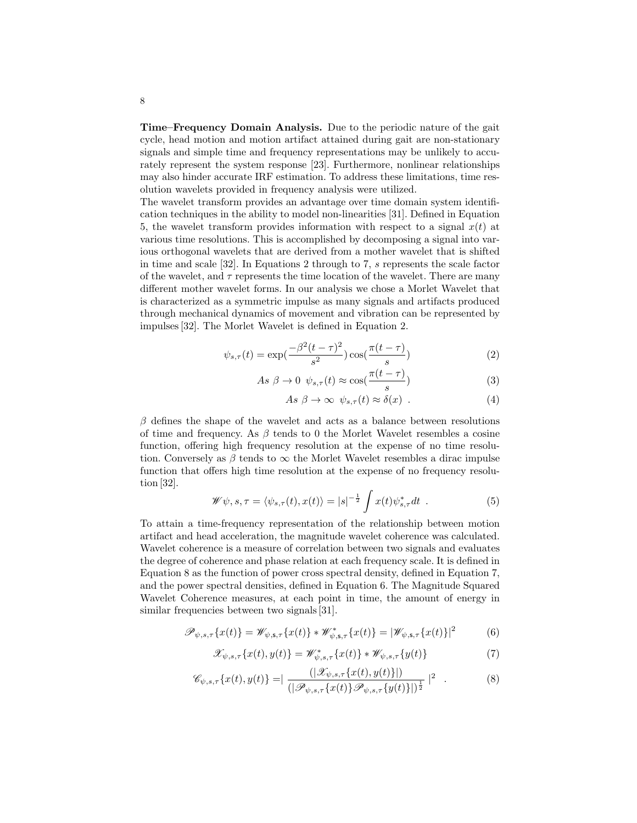Time–Frequency Domain Analysis. Due to the periodic nature of the gait cycle, head motion and motion artifact attained during gait are non-stationary signals and simple time and frequency representations may be unlikely to accurately represent the system response [23]. Furthermore, nonlinear relationships may also hinder accurate IRF estimation. To address these limitations, time resolution wavelets provided in frequency analysis were utilized.

The wavelet transform provides an advantage over time domain system identification techniques in the ability to model non-linearities [31]. Defined in Equation 5, the wavelet transform provides information with respect to a signal  $x(t)$  at various time resolutions. This is accomplished by decomposing a signal into various orthogonal wavelets that are derived from a mother wavelet that is shifted in time and scale [32]. In Equations 2 through to 7, s represents the scale factor of the wavelet, and  $\tau$  represents the time location of the wavelet. There are many different mother wavelet forms. In our analysis we chose a Morlet Wavelet that is characterized as a symmetric impulse as many signals and artifacts produced through mechanical dynamics of movement and vibration can be represented by impulses [32]. The Morlet Wavelet is defined in Equation 2.

$$
\psi_{s,\tau}(t) = \exp\left(\frac{-\beta^2 (t-\tau)^2}{s^2}\right) \cos\left(\frac{\pi (t-\tau)}{s}\right) \tag{2}
$$

$$
As \ \beta \to 0 \ \psi_{s,\tau}(t) \approx \cos(\frac{\pi(t-\tau)}{s}) \tag{3}
$$

$$
As \beta \to \infty \ \psi_{s,\tau}(t) \approx \delta(x) \ . \tag{4}
$$

 $\beta$  defines the shape of the wavelet and acts as a balance between resolutions of time and frequency. As  $\beta$  tends to 0 the Morlet Wavelet resembles a cosine function, offering high frequency resolution at the expense of no time resolution. Conversely as  $\beta$  tends to  $\infty$  the Morlet Wavelet resembles a dirac impulse function that offers high time resolution at the expense of no frequency resolution [32].

$$
\mathscr{W}\psi, s, \tau = \langle \psi_{s,\tau}(t), x(t) \rangle = |s|^{-\frac{1}{2}} \int x(t) \psi_{s,\tau}^* dt \quad . \tag{5}
$$

To attain a time-frequency representation of the relationship between motion artifact and head acceleration, the magnitude wavelet coherence was calculated. Wavelet coherence is a measure of correlation between two signals and evaluates the degree of coherence and phase relation at each frequency scale. It is defined in Equation 8 as the function of power cross spectral density, defined in Equation 7, and the power spectral densities, defined in Equation 6. The Magnitude Squared Wavelet Coherence measures, at each point in time, the amount of energy in similar frequencies between two signals [31].

$$
\mathscr{P}_{\psi,s,\tau}\{x(t)\} = \mathscr{W}_{\psi,s,\tau}\{x(t)\} * \mathscr{W}_{\psi,s,\tau}^*\{x(t)\} = |\mathscr{W}_{\psi,s,\tau}\{x(t)\}|^2 \tag{6}
$$

$$
\mathscr{X}_{\psi,s,\tau}\{x(t),y(t)\}=\mathscr{W}_{\psi,s,\tau}^*\{x(t)\}*\mathscr{W}_{\psi,s,\tau}\{y(t)\}\tag{7}
$$

$$
\mathscr{C}_{\psi,s,\tau}\{x(t),y(t)\} = \left| \frac{(|\mathscr{X}_{\psi,s,\tau}\{x(t),y(t)\}|)}{(|\mathscr{P}_{\psi,s,\tau}\{x(t)\}\mathscr{P}_{\psi,s,\tau}\{y(t)\}|)^{\frac{1}{2}}} \right|^2 \quad . \tag{8}
$$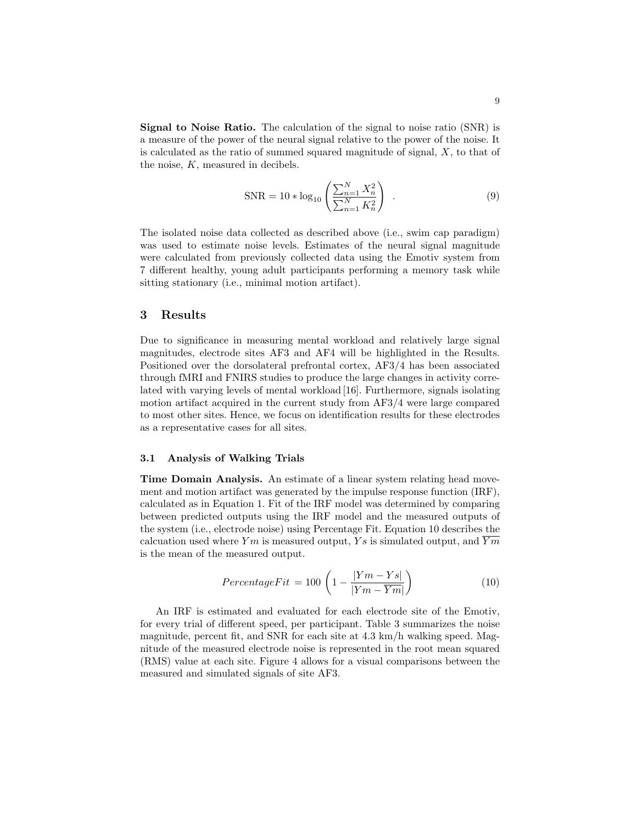Signal to Noise Ratio. The calculation of the signal to noise ratio (SNR) is a measure of the power of the neural signal relative to the power of the noise. It is calculated as the ratio of summed squared magnitude of signal,  $X$ , to that of the noise,  $K$ , measured in decibels.

$$
SNR = 10 * log_{10} \left( \frac{\sum_{n=1}^{N} X_n^2}{\sum_{n=1}^{N} K_n^2} \right) .
$$
 (9)

The isolated noise data collected as described above (i.e., swim cap paradigm) was used to estimate noise levels. Estimates of the neural signal magnitude were calculated from previously collected data using the Emotiv system from 7 different healthy, young adult participants performing a memory task while sitting stationary (i.e., minimal motion artifact).

# 3 Results

Due to significance in measuring mental workload and relatively large signal magnitudes, electrode sites AF3 and AF4 will be highlighted in the Results. Positioned over the dorsolateral prefrontal cortex, AF3/4 has been associated through fMRI and FNIRS studies to produce the large changes in activity correlated with varying levels of mental workload [16]. Furthermore, signals isolating motion artifact acquired in the current study from AF3/4 were large compared to most other sites. Hence, we focus on identification results for these electrodes as a representative cases for all sites.

#### 3.1 Analysis of Walking Trials

Time Domain Analysis. An estimate of a linear system relating head movement and motion artifact was generated by the impulse response function (IRF), calculated as in Equation 1. Fit of the IRF model was determined by comparing between predicted outputs using the IRF model and the measured outputs of the system (i.e., electrode noise) using Percentage Fit. Equation 10 describes the calcuation used where Ym is measured output, Ys is simulated output, and  $\overline{Ym}$ is the mean of the measured output.

$$
PercentageFit = 100 \left( 1 - \frac{|Ym - Ys|}{|Ym - \overline{Ym}|} \right)
$$
 (10)

An IRF is estimated and evaluated for each electrode site of the Emotiv, for every trial of different speed, per participant. Table 3 summarizes the noise magnitude, percent fit, and SNR for each site at 4.3 km/h walking speed. Magnitude of the measured electrode noise is represented in the root mean squared (RMS) value at each site. Figure 4 allows for a visual comparisons between the measured and simulated signals of site AF3.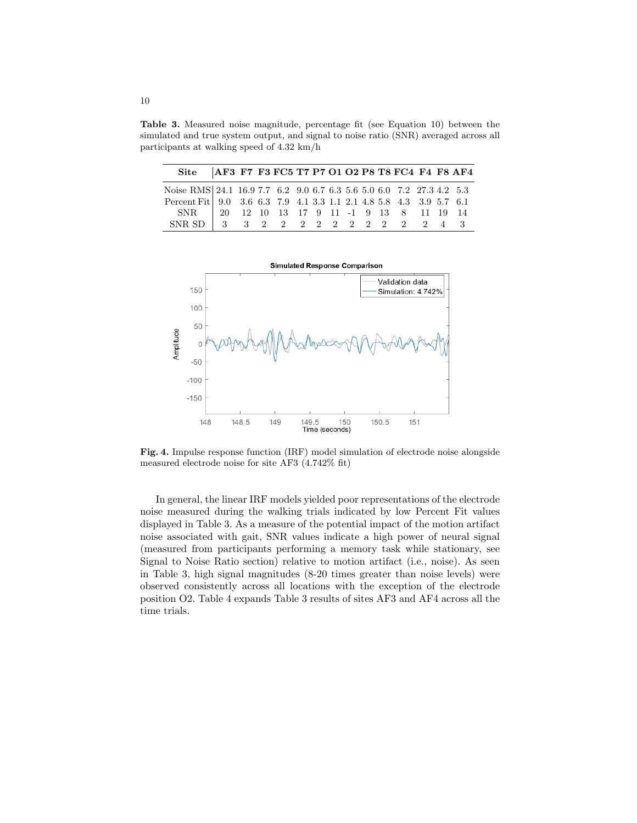Table 3. Measured noise magnitude, percentage fit (see Equation 10) between the simulated and true system output, and signal to noise ratio (SNR) averaged across all participants at walking speed of 4.32 km/h

| Site   AF3 F7 F3 FC5 T7 P7 O1 O2 P8 T8 FC4 F4 F8 AF4                                                                          |  |  |  |  |  |  |  |
|-------------------------------------------------------------------------------------------------------------------------------|--|--|--|--|--|--|--|
| Noise RMS 24.1 16.9 7.7 6.2 9.0 6.7 6.3 5.6 5.0 6.0 7.2 27.3 4.2 5.3                                                          |  |  |  |  |  |  |  |
| Percent Fit   9.0 3.6 6.3 7.9 4.1 3.3 1.1 2.1 4.8 5.8 4.3 3.9 5.7 6.1                                                         |  |  |  |  |  |  |  |
| $\begin{tabular}{ cccccccccccc cccc } SNR & & 20 & 12 & 10 & 13 & 17 & 9 & 11 & -1 & 9 & 13 & 8 & 11 & 19 & 14 \end{tabular}$ |  |  |  |  |  |  |  |
| SNR SD 3 3 3 2 2 2 2 2 2 2 2 2 2 4 3                                                                                          |  |  |  |  |  |  |  |



Fig. 4. Impulse response function (IRF) model simulation of electrode noise alongside measured electrode noise for site AF3 (4.742% fit)

In general, the linear IRF models yielded poor representations of the electrode noise measured during the walking trials indicated by low Percent Fit values displayed in Table 3. As a measure of the potential impact of the motion artifact noise associated with gait, SNR values indicate a high power of neural signal (measured from participants performing a memory task while stationary, see Signal to Noise Ratio section) relative to motion artifact (i.e., noise). As seen in Table 3, high signal magnitudes (8-20 times greater than noise levels) were observed consistently across all locations with the exception of the electrode position O2. Table 4 expands Table 3 results of sites AF3 and AF4 across all the time trials.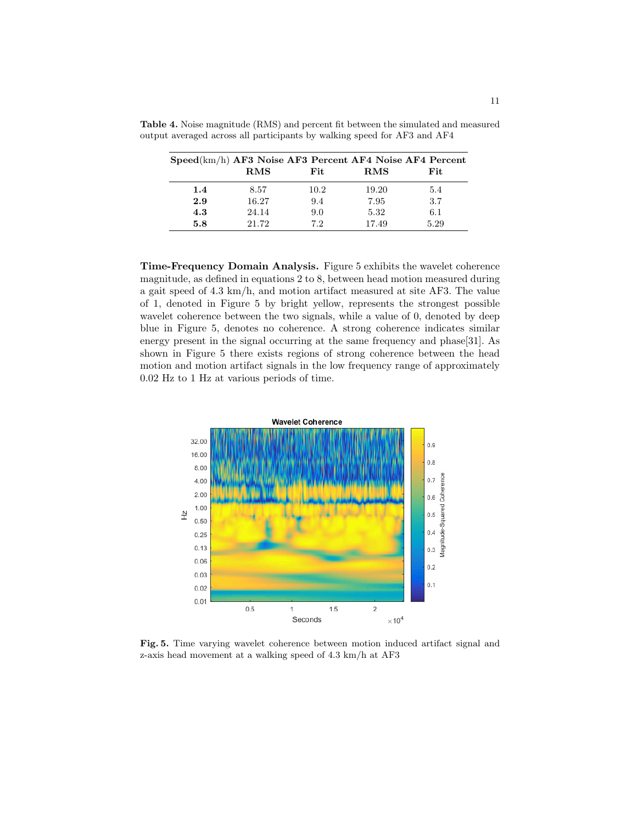| $Speed(km/h)$ AF3 Noise AF3 Percent AF4 Noise AF4 Percent |            |      |            |      |
|-----------------------------------------------------------|------------|------|------------|------|
|                                                           | <b>RMS</b> | Fit. | <b>RMS</b> | Fit. |
| 1.4                                                       | 8.57       | 10.2 | 19.20      | 5.4  |
| 2.9                                                       | 16.27      | 9.4  | 7.95       | 3.7  |
| 4.3                                                       | 24.14      | 9.0  | 5.32       | 6.1  |
| 5.8                                                       | 21.72      | 72   | 17.49      | 5.29 |

Table 4. Noise magnitude (RMS) and percent fit between the simulated and measured output averaged across all participants by walking speed for AF3 and AF4

Time-Frequency Domain Analysis. Figure 5 exhibits the wavelet coherence magnitude, as defined in equations 2 to 8, between head motion measured during a gait speed of 4.3 km/h, and motion artifact measured at site AF3. The value of 1, denoted in Figure 5 by bright yellow, represents the strongest possible wavelet coherence between the two signals, while a value of 0, denoted by deep blue in Figure 5, denotes no coherence. A strong coherence indicates similar energy present in the signal occurring at the same frequency and phase[31]. As shown in Figure 5 there exists regions of strong coherence between the head motion and motion artifact signals in the low frequency range of approximately 0.02 Hz to 1 Hz at various periods of time.



Fig. 5. Time varying wavelet coherence between motion induced artifact signal and z-axis head movement at a walking speed of 4.3 km/h at AF3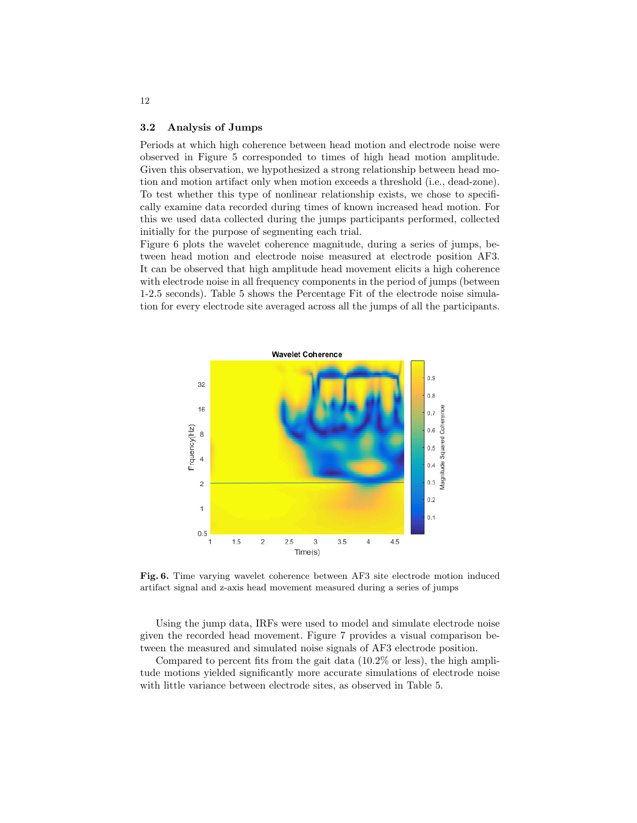#### 3.2 Analysis of Jumps

Periods at which high coherence between head motion and electrode noise were observed in Figure 5 corresponded to times of high head motion amplitude. Given this observation, we hypothesized a strong relationship between head motion and motion artifact only when motion exceeds a threshold (i.e., dead-zone). To test whether this type of nonlinear relationship exists, we chose to specifically examine data recorded during times of known increased head motion. For this we used data collected during the jumps participants performed, collected initially for the purpose of segmenting each trial.

Figure 6 plots the wavelet coherence magnitude, during a series of jumps, between head motion and electrode noise measured at electrode position AF3. It can be observed that high amplitude head movement elicits a high coherence with electrode noise in all frequency components in the period of jumps (between 1-2.5 seconds). Table 5 shows the Percentage Fit of the electrode noise simulation for every electrode site averaged across all the jumps of all the participants.



Fig. 6. Time varying wavelet coherence between AF3 site electrode motion induced artifact signal and z-axis head movement measured during a series of jumps

Using the jump data, IRFs were used to model and simulate electrode noise given the recorded head movement. Figure 7 provides a visual comparison between the measured and simulated noise signals of AF3 electrode position.

Compared to percent fits from the gait data (10.2% or less), the high amplitude motions yielded significantly more accurate simulations of electrode noise with little variance between electrode sites, as observed in Table 5.

12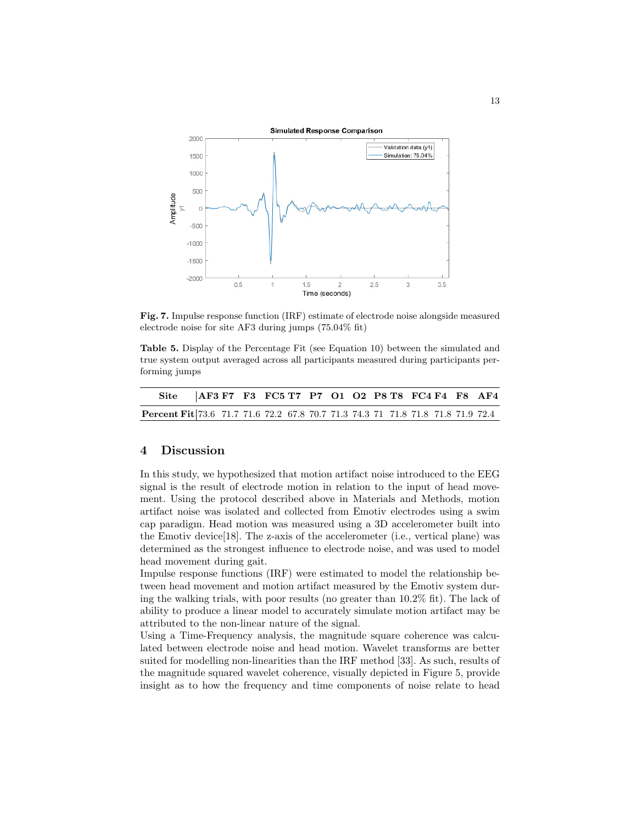

Fig. 7. Impulse response function (IRF) estimate of electrode noise alongside measured electrode noise for site AF3 during jumps (75.04% fit)

Table 5. Display of the Percentage Fit (see Equation 10) between the simulated and true system output averaged across all participants measured during participants performing jumps

| Site   AF3 F7 F3 FC5 T7 P7 O1 O2 P8 T8 FC4 F4 F8 AF4                            |  |  |  |  |  |  |  |
|---------------------------------------------------------------------------------|--|--|--|--|--|--|--|
| Percent Fit 73.6 71.7 71.6 72.2 67.8 70.7 71.3 74.3 71 71.8 71.8 71.8 71.9 72.4 |  |  |  |  |  |  |  |

# 4 Discussion

In this study, we hypothesized that motion artifact noise introduced to the EEG signal is the result of electrode motion in relation to the input of head movement. Using the protocol described above in Materials and Methods, motion artifact noise was isolated and collected from Emotiv electrodes using a swim cap paradigm. Head motion was measured using a 3D accelerometer built into the Emotiv device[18]. The z-axis of the accelerometer (i.e., vertical plane) was determined as the strongest influence to electrode noise, and was used to model head movement during gait.

Impulse response functions (IRF) were estimated to model the relationship between head movement and motion artifact measured by the Emotiv system during the walking trials, with poor results (no greater than 10.2% fit). The lack of ability to produce a linear model to accurately simulate motion artifact may be attributed to the non-linear nature of the signal.

Using a Time-Frequency analysis, the magnitude square coherence was calculated between electrode noise and head motion. Wavelet transforms are better suited for modelling non-linearities than the IRF method [33]. As such, results of the magnitude squared wavelet coherence, visually depicted in Figure 5, provide insight as to how the frequency and time components of noise relate to head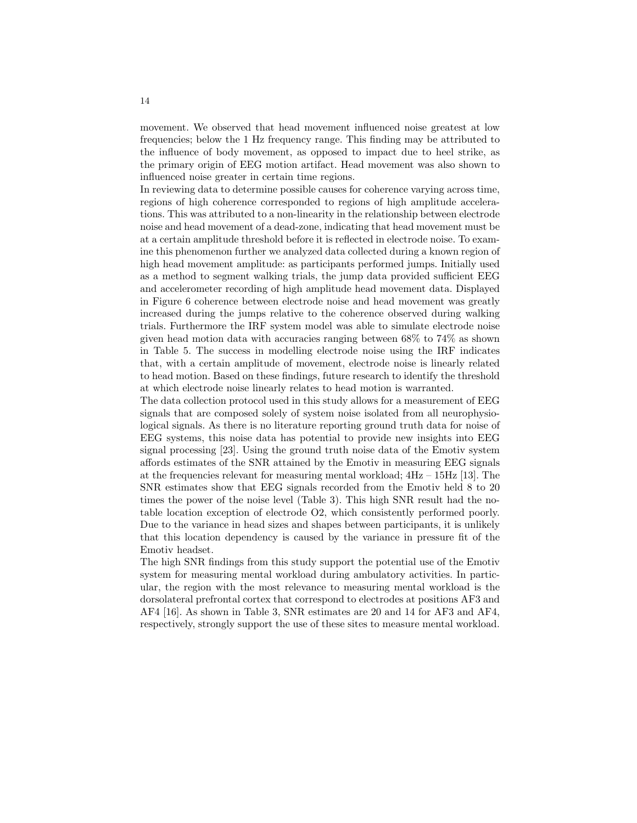movement. We observed that head movement influenced noise greatest at low frequencies; below the 1 Hz frequency range. This finding may be attributed to the influence of body movement, as opposed to impact due to heel strike, as the primary origin of EEG motion artifact. Head movement was also shown to influenced noise greater in certain time regions.

In reviewing data to determine possible causes for coherence varying across time, regions of high coherence corresponded to regions of high amplitude accelerations. This was attributed to a non-linearity in the relationship between electrode noise and head movement of a dead-zone, indicating that head movement must be at a certain amplitude threshold before it is reflected in electrode noise. To examine this phenomenon further we analyzed data collected during a known region of high head movement amplitude: as participants performed jumps. Initially used as a method to segment walking trials, the jump data provided sufficient EEG and accelerometer recording of high amplitude head movement data. Displayed in Figure 6 coherence between electrode noise and head movement was greatly increased during the jumps relative to the coherence observed during walking trials. Furthermore the IRF system model was able to simulate electrode noise given head motion data with accuracies ranging between 68% to 74% as shown in Table 5. The success in modelling electrode noise using the IRF indicates that, with a certain amplitude of movement, electrode noise is linearly related to head motion. Based on these findings, future research to identify the threshold at which electrode noise linearly relates to head motion is warranted.

The data collection protocol used in this study allows for a measurement of EEG signals that are composed solely of system noise isolated from all neurophysiological signals. As there is no literature reporting ground truth data for noise of EEG systems, this noise data has potential to provide new insights into EEG signal processing [23]. Using the ground truth noise data of the Emotiv system affords estimates of the SNR attained by the Emotiv in measuring EEG signals at the frequencies relevant for measuring mental workload;  $4Hz - 15Hz$  [13]. The SNR estimates show that EEG signals recorded from the Emotiv held 8 to 20 times the power of the noise level (Table 3). This high SNR result had the notable location exception of electrode O2, which consistently performed poorly. Due to the variance in head sizes and shapes between participants, it is unlikely that this location dependency is caused by the variance in pressure fit of the Emotiv headset.

The high SNR findings from this study support the potential use of the Emotiv system for measuring mental workload during ambulatory activities. In particular, the region with the most relevance to measuring mental workload is the dorsolateral prefrontal cortex that correspond to electrodes at positions AF3 and AF4 [16]. As shown in Table 3, SNR estimates are 20 and 14 for AF3 and AF4, respectively, strongly support the use of these sites to measure mental workload.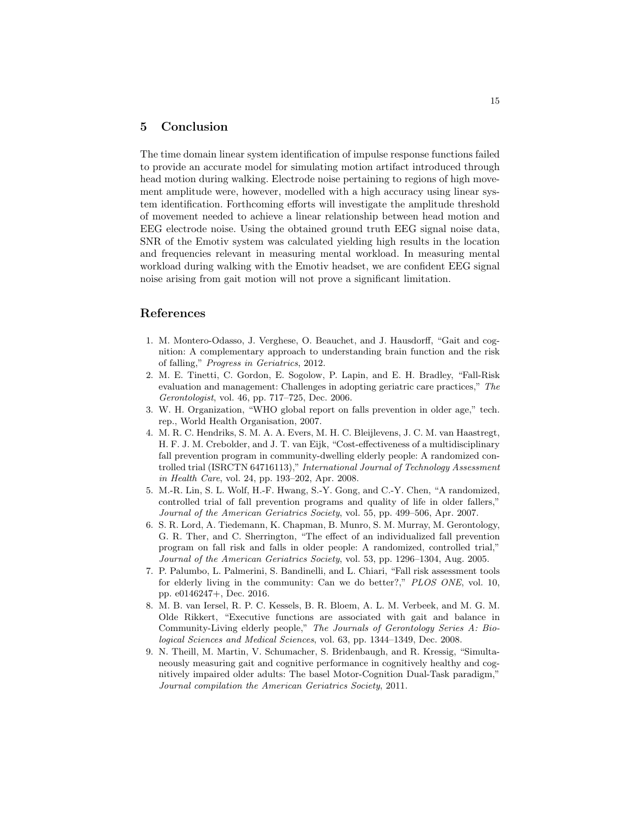# 5 Conclusion

The time domain linear system identification of impulse response functions failed to provide an accurate model for simulating motion artifact introduced through head motion during walking. Electrode noise pertaining to regions of high movement amplitude were, however, modelled with a high accuracy using linear system identification. Forthcoming efforts will investigate the amplitude threshold of movement needed to achieve a linear relationship between head motion and EEG electrode noise. Using the obtained ground truth EEG signal noise data, SNR of the Emotiv system was calculated yielding high results in the location and frequencies relevant in measuring mental workload. In measuring mental workload during walking with the Emotiv headset, we are confident EEG signal noise arising from gait motion will not prove a significant limitation.

# References

- 1. M. Montero-Odasso, J. Verghese, O. Beauchet, and J. Hausdorff, "Gait and cognition: A complementary approach to understanding brain function and the risk of falling," Progress in Geriatrics, 2012.
- 2. M. E. Tinetti, C. Gordon, E. Sogolow, P. Lapin, and E. H. Bradley, "Fall-Risk evaluation and management: Challenges in adopting geriatric care practices," The Gerontologist, vol. 46, pp. 717–725, Dec. 2006.
- 3. W. H. Organization, "WHO global report on falls prevention in older age," tech. rep., World Health Organisation, 2007.
- 4. M. R. C. Hendriks, S. M. A. A. Evers, M. H. C. Bleijlevens, J. C. M. van Haastregt, H. F. J. M. Crebolder, and J. T. van Eijk, "Cost-effectiveness of a multidisciplinary fall prevention program in community-dwelling elderly people: A randomized controlled trial (ISRCTN 64716113)," International Journal of Technology Assessment in Health Care, vol. 24, pp. 193–202, Apr. 2008.
- 5. M.-R. Lin, S. L. Wolf, H.-F. Hwang, S.-Y. Gong, and C.-Y. Chen, "A randomized, controlled trial of fall prevention programs and quality of life in older fallers," Journal of the American Geriatrics Society, vol. 55, pp. 499–506, Apr. 2007.
- 6. S. R. Lord, A. Tiedemann, K. Chapman, B. Munro, S. M. Murray, M. Gerontology, G. R. Ther, and C. Sherrington, "The effect of an individualized fall prevention program on fall risk and falls in older people: A randomized, controlled trial," Journal of the American Geriatrics Society, vol. 53, pp. 1296–1304, Aug. 2005.
- 7. P. Palumbo, L. Palmerini, S. Bandinelli, and L. Chiari, "Fall risk assessment tools for elderly living in the community: Can we do better?," PLOS ONE, vol. 10, pp. e0146247+, Dec. 2016.
- 8. M. B. van Iersel, R. P. C. Kessels, B. R. Bloem, A. L. M. Verbeek, and M. G. M. Olde Rikkert, "Executive functions are associated with gait and balance in Community-Living elderly people," The Journals of Gerontology Series A: Biological Sciences and Medical Sciences, vol. 63, pp. 1344–1349, Dec. 2008.
- 9. N. Theill, M. Martin, V. Schumacher, S. Bridenbaugh, and R. Kressig, "Simultaneously measuring gait and cognitive performance in cognitively healthy and cognitively impaired older adults: The basel Motor-Cognition Dual-Task paradigm,' Journal compilation the American Geriatrics Society, 2011.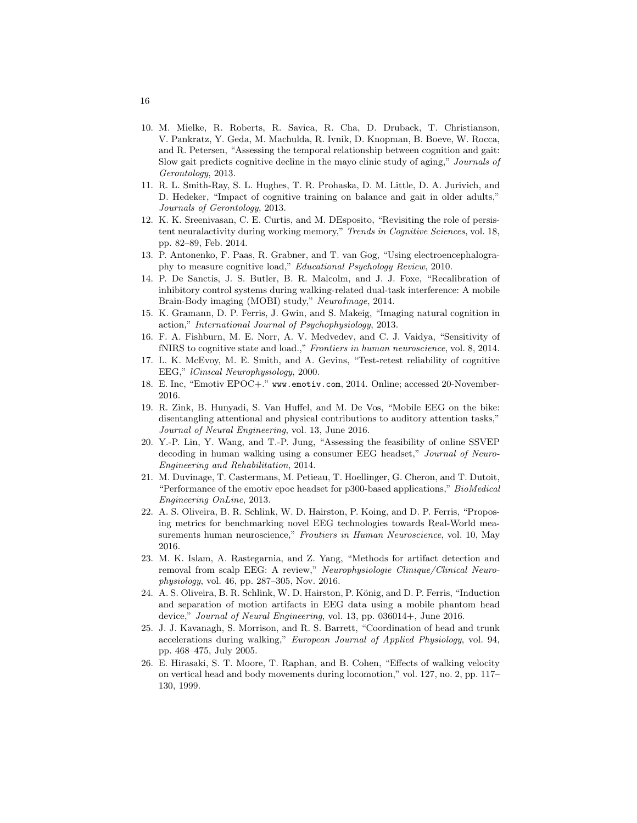- 10. M. Mielke, R. Roberts, R. Savica, R. Cha, D. Druback, T. Christianson, V. Pankratz, Y. Geda, M. Machulda, R. Ivnik, D. Knopman, B. Boeve, W. Rocca, and R. Petersen, "Assessing the temporal relationship between cognition and gait: Slow gait predicts cognitive decline in the mayo clinic study of aging," Journals of Gerontology, 2013.
- 11. R. L. Smith-Ray, S. L. Hughes, T. R. Prohaska, D. M. Little, D. A. Jurivich, and D. Hedeker, "Impact of cognitive training on balance and gait in older adults," Journals of Gerontology, 2013.
- 12. K. K. Sreenivasan, C. E. Curtis, and M. DEsposito, "Revisiting the role of persistent neuralactivity during working memory," Trends in Cognitive Sciences, vol. 18, pp. 82–89, Feb. 2014.
- 13. P. Antonenko, F. Paas, R. Grabner, and T. van Gog, "Using electroencephalography to measure cognitive load," Educational Psychology Review, 2010.
- 14. P. De Sanctis, J. S. Butler, B. R. Malcolm, and J. J. Foxe, "Recalibration of inhibitory control systems during walking-related dual-task interference: A mobile Brain-Body imaging (MOBI) study," NeuroImage, 2014.
- 15. K. Gramann, D. P. Ferris, J. Gwin, and S. Makeig, "Imaging natural cognition in action," International Journal of Psychophysiology, 2013.
- 16. F. A. Fishburn, M. E. Norr, A. V. Medvedev, and C. J. Vaidya, "Sensitivity of fNIRS to cognitive state and load.," Frontiers in human neuroscience, vol. 8, 2014.
- 17. L. K. McEvoy, M. E. Smith, and A. Gevins, "Test-retest reliability of cognitive EEG," lCinical Neurophysiology, 2000.
- 18. E. Inc, "Emotiv EPOC+." www.emotiv.com, 2014. Online; accessed 20-November-2016.
- 19. R. Zink, B. Hunyadi, S. Van Huffel, and M. De Vos, "Mobile EEG on the bike: disentangling attentional and physical contributions to auditory attention tasks," Journal of Neural Engineering, vol. 13, June 2016.
- 20. Y.-P. Lin, Y. Wang, and T.-P. Jung, "Assessing the feasibility of online SSVEP decoding in human walking using a consumer EEG headset," Journal of Neuro-Engineering and Rehabilitation, 2014.
- 21. M. Duvinage, T. Castermans, M. Petieau, T. Hoellinger, G. Cheron, and T. Dutoit, "Performance of the emotiv epoc headset for p300-based applications," BioMedical Engineering OnLine, 2013.
- 22. A. S. Oliveira, B. R. Schlink, W. D. Hairston, P. Koing, and D. P. Ferris, "Proposing metrics for benchmarking novel EEG technologies towards Real-World measurements human neuroscience," Froutiers in Human Neuroscience, vol. 10, May 2016.
- 23. M. K. Islam, A. Rastegarnia, and Z. Yang, "Methods for artifact detection and removal from scalp EEG: A review," Neurophysiologie Clinique/Clinical Neurophysiology, vol. 46, pp. 287–305, Nov. 2016.
- 24. A. S. Oliveira, B. R. Schlink, W. D. Hairston, P. König, and D. P. Ferris, "Induction and separation of motion artifacts in EEG data using a mobile phantom head device," Journal of Neural Engineering, vol. 13, pp. 036014+, June 2016.
- 25. J. J. Kavanagh, S. Morrison, and R. S. Barrett, "Coordination of head and trunk accelerations during walking," European Journal of Applied Physiology, vol. 94, pp. 468–475, July 2005.
- 26. E. Hirasaki, S. T. Moore, T. Raphan, and B. Cohen, "Effects of walking velocity on vertical head and body movements during locomotion," vol. 127, no. 2, pp. 117– 130, 1999.

16